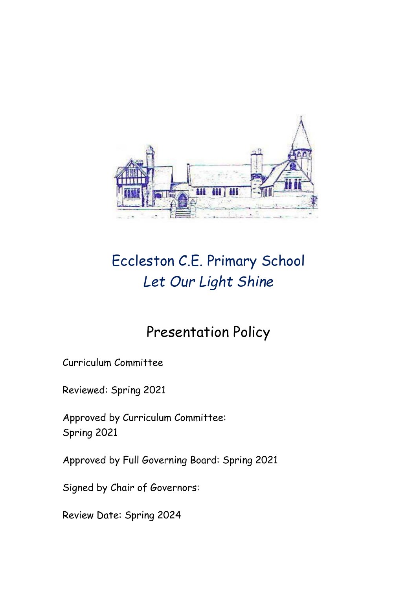

# Eccleston C.E. Primary School *Let Our Light Shine*

## Presentation Policy

Curriculum Committee

Reviewed: Spring 2021

Approved by Curriculum Committee: Spring 2021

Approved by Full Governing Board: Spring 2021

Signed by Chair of Governors:

Review Date: Spring 2024